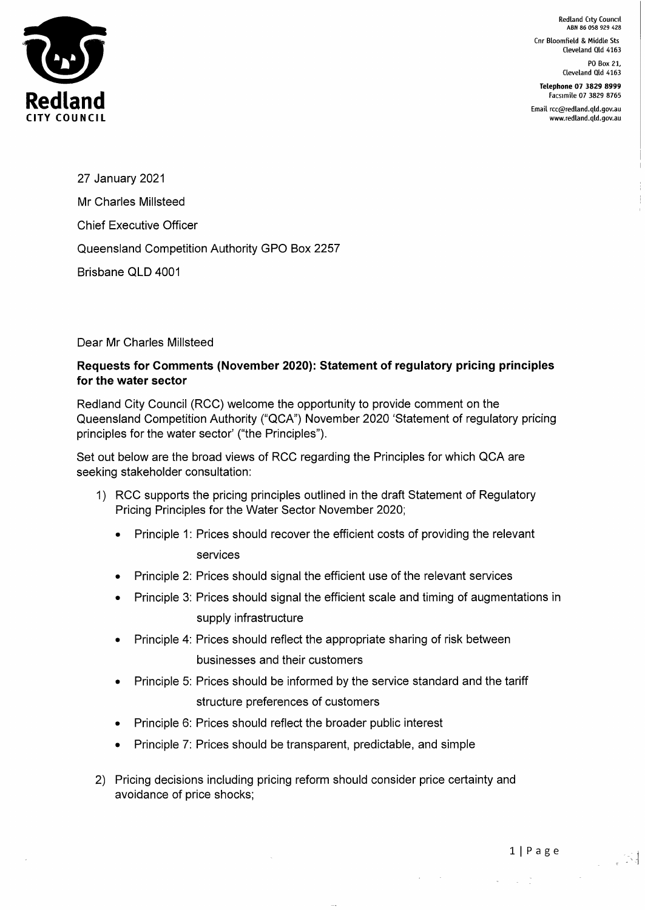Redland City Council ABN 86 058 929 428

Cnr Bloomfield & Middle Sts Cleveland Qld 4163

> PO Box 21, Cleveland Qld 4163

Telephone 07 3829 8999 Facsimile 07 3829 8765

Email rcc@redland.qld.gov.au www.redland.qld.gov.au



27 January 2021 Mr Charles Millsteed Chief Executive Officer Queensland Competition Authority GPO Box 2257 Brisbane QLD 4001

## Dear Mr Charles Millsteed

## Requests for Comments (November 2020): Statement of regulatory pricing principles for the water sector

Redland City Council (RCC) welcome the opportunity to provide comment on the Queensland Competition Authority ("QCA") November 2020 'Statement of regulatory pricing principles for the water sector' ("the Principles").

Set out below are the broad views of RCC regarding the Principles for which QCA are seeking stakeholder consultation:

- 1) RCC supports the pricing principles outlined in the draft Statement of Regulatory Pricing Principles for the Water Sector November 2020;
	- Principle 1: Prices should recover the efficient costs of providing the relevant services
	- Principle 2: Prices should signal the efficient use of the relevant services
	- Principle 3: Prices should signal the efficient scale and timing of augmentations in supply infrastructure
	- Principle 4: Prices should reflect the appropriate sharing of risk between businesses and their customers
	- Principle 5: Prices should be informed by the service standard and the tariff structure preferences of customers
	- Principle 6: Prices should reflect the broader public interest
	- Principle 7: Prices should be transparent, predictable, and simple
- 2) Pricing decisions including pricing reform should consider price certainty and avoidance of price shocks;